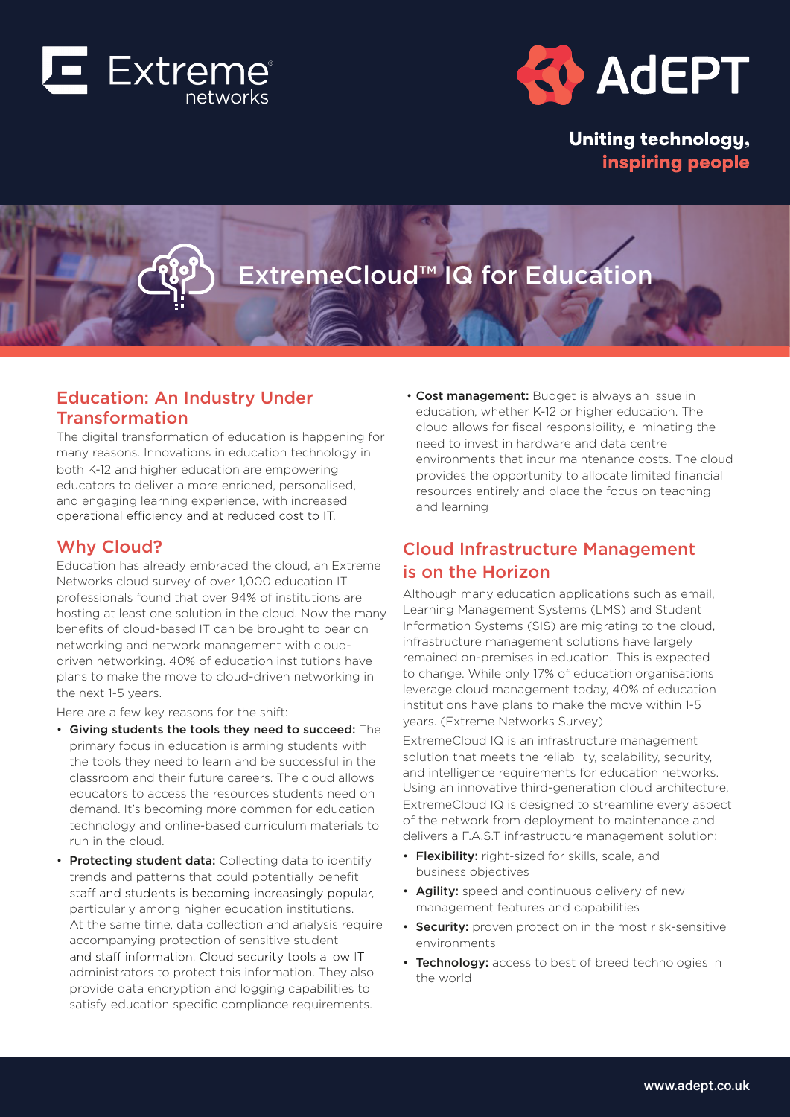



**Uniting technology,** inspiring people

# ExtremeCloud™ IQ for Education

## Education: An Industry Under Education: An Industry Under TransformationTransformation

The digital transformation of education is happening for many reasons. Innovations in education technology in both K-12 and higher education are empowering educators to deliver a more enriched, personalised, educators to deliver a more enriched, personalised, and engaging learning experience, with increased operational efficiency and at reduced cost to IT.

## Why Cloud? Why Cloud?

Education has already embraced the cloud, an Extreme Networks cloud survey of over 1,000 education IT professionals found that over 94% of institutions are hosting at least one solution in the cloud. Now the many benefits of cloud-based IT can be brought to bear on networking and network management with clouddriven networking. 40% of education institutions have plans to make the move to cloud-driven networking in the next 1-5 years.

Here are a few key reasons for the shift:

- Giving students the tools they need to succeed: The primary focus in education is arming students with the tools they need to learn and be successful in the classroom and their future careers. The cloud allows educators to access the resources students need on demand. It's becoming more common for education technology and online-based curriculum materials to run in the cloud.
- Protecting student data: Collecting data to identify trends and patterns that could potentially benefit staff and students is becoming increasingly popular, particularly among higher education institutions. At the same time, data collection and analysis require accompanying protection of sensitive student and staff information. Cloud security tools allow IT administrators to protect this information. They also provide data encryption and logging capabilities to satisfy education specific compliance requirements.

**• Cost management:** Budget is always an issue in education, whether K-12 or higher education. The cloud allows for fiscal responsibility, eliminating the need to invest in hardware and data centre environments that incur maintenance costs. The cloud provides the opportunity to allocate limited financial resources entirely and place the focus on teaching and learning

## Cloud Infrastructure Management is on the Horizon

Although many education applications such as email, Learning Management Systems (LMS) and Student Information Systems (SIS) are migrating to the cloud, infrastructure management solutions have largely remained on-premises in education. This is expected to change. While only 17% of education organisations leverage cloud management today, 40% of education institutions have plans to make the move within 1-5 years. (Extreme Networks Survey) Although many education applications such as email,<br>Learning Management Systems (LMS) and Student<br>Information Systems (SIS) are migrating to the cloud,<br>infrastructure management solutions have largely<br>remained on-premises

ExtremeCloud IQ is an infrastructure management solution that meets the reliability, scalability, security, and intelligence requirements for education networks. Using an innovative third-generation cloud architecture, ExtremeCloud IQ is designed to streamline every aspect of the network from deployment to maintenance and delivers a F.A.S.T infrastructure management solution:

- Flexibility: right-sized for skills, scale, and business objectives
- Agility: speed and continuous delivery of new management features and capabilities
- Security: proven protection in the most risk-sensitive environments
- Technology: access to best of breed technologies in the world • Technology: access to best of breed technologies in<br>the world<br>Now world<br>Now world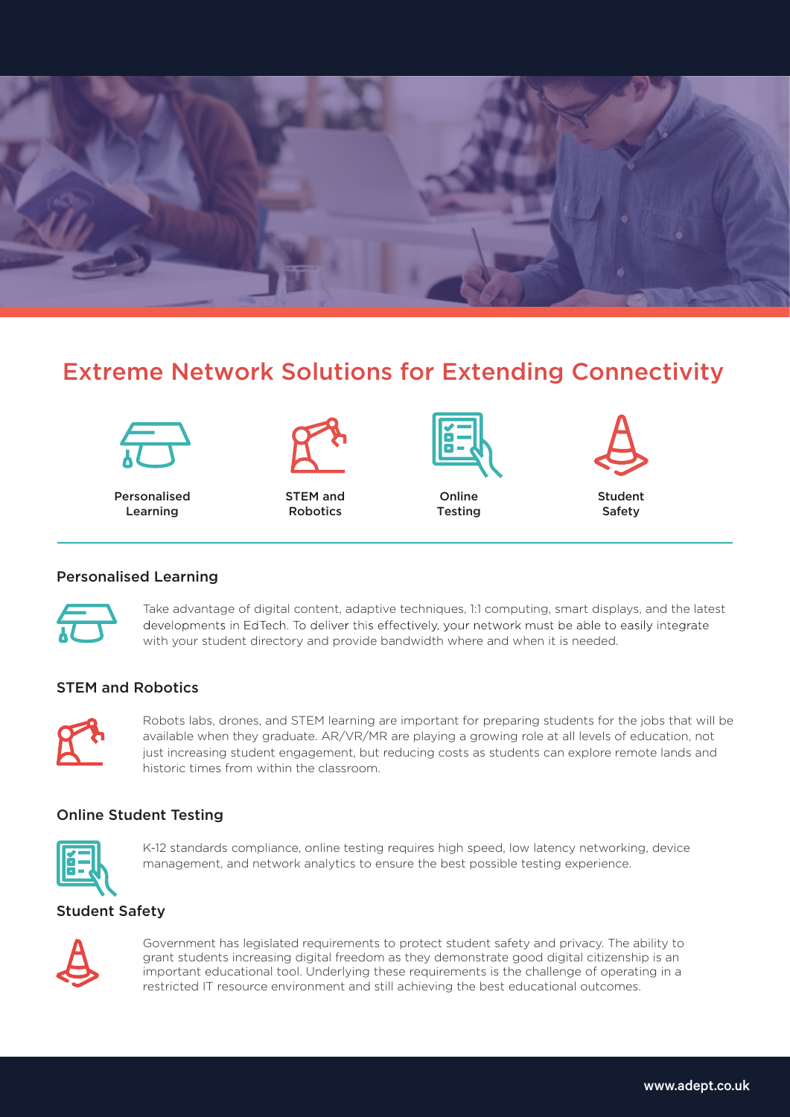

## Extreme Network Solutions for Extending Connectivity



Personalised Learning



STEM and Robotics



Online Testing Testing



Student Safety

#### Personalised Learning Take advantage of digital content, adaptive techniques, 1:1 computing, smart displays, and the latest



Take advantage of digital content, adaptive techniques, 1:1 computing, smart displays, and the latest with your student directory and provide bandwidth where and when it is needed.

#### STEM and Robotics  $\mathcal{L}$  denotes, and  $\mathcal{L}$  are important for preparing studients for preparing studients for the jobs that will be jobs that will be jobs that will be jobs that will be jobs that will be jobs that will be jobs that wi



Robots labs, drones, and STEM learning are important for preparing students for the jobs that will be available when they graduate. AR/VR/MR are playing a growing role at all levels of education, not<br>. just increasing student engagement, but reducing costs as students can explore remote lands and historic times from within the classroom. it operations, and student engagement of preparing students for the jobs that will

#### Online Student Testing K-12 standards compliance, online testing requires high speed, low latency networking, device



K-12 standards compliance, online testing requires high speed, low latency networking, device management, and network analytics to ensure the best possible testing experience.

#### Student Safety  $G$  is a legislated requirements to protect studients to protect studients to private safety and private safety  $\alpha$



Government has legislated requirements to protect student safety and privacy. The ability to grant students increasing digital freedom as they demonstrate good digital citizenship is an important educational tool. Underlying these requirements is the challenge of operating in a restricted IT resource environment and still achieving the best educational outcomes. Government has legislated requirements to protect student safety and privacy. The ability to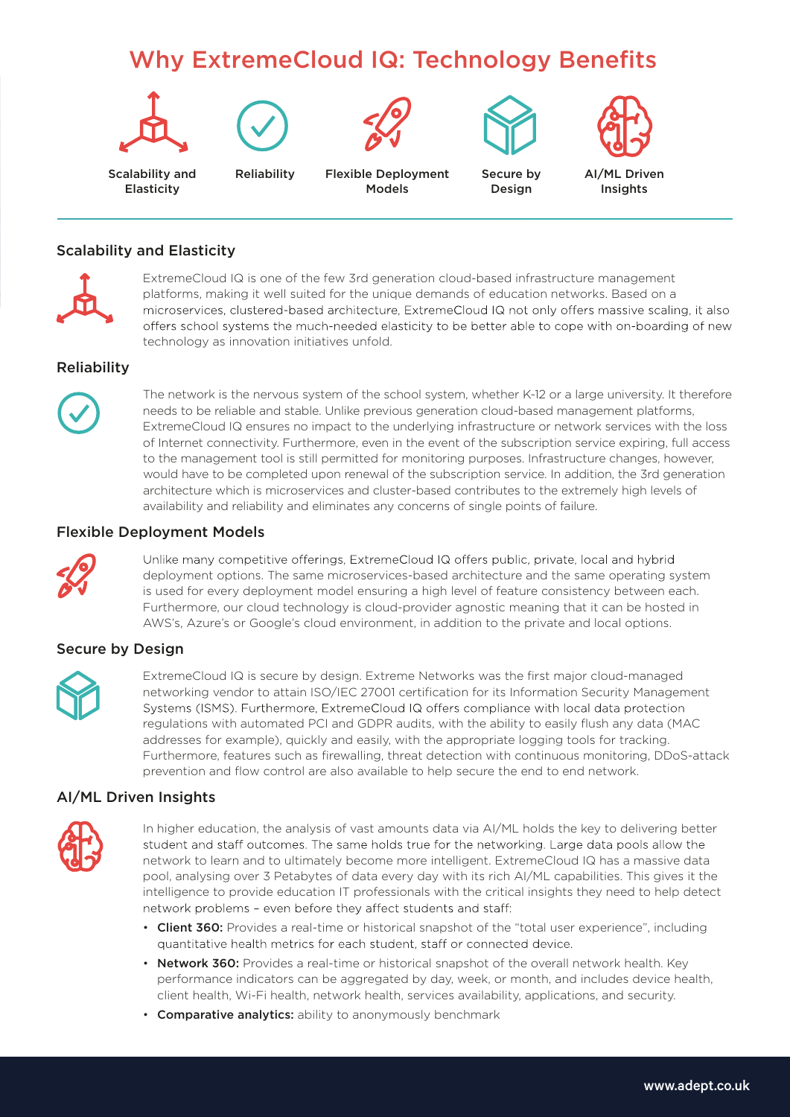# Why ExtremeCloud IQ: Technology Benefits









Scalability and Elasticity

Reliability Flexible Deployment Models

Secure by Design



#### Scalability and Elasticity



ExtremeCloud IQ is one of the few 3rd generation cloud-based infrastructure management platforms, making it well suited for the unique demands of education networks. Based on a microservices, clustered-based architecture, ExtremeCloud IQ not only offers massive scaling, it also offers school systems the much-needed elasticity to be better able to cope with on-boarding of new technology as innovation initiatives unfold.

### **Reliability**



The network is the nervous system of the school system, whether K-12 or a large university. It therefore needs to be reliable and stable. Unlike previous generation cloud-based management platforms, ExtremeCloud IQ ensures no impact to the underlying infrastructure or network services with the loss of Internet connectivity. Furthermore, even in the event of the subscription service expiring, full access to the management tool is still permitted for monitoring purposes. Infrastructure changes, however, would have to be completed upon renewal of the subscription service. In addition, the 3rd generation architecture which is microservices and cluster-based contributes to the extremely high levels of availability and reliability and eliminates any concerns of single points of failure.

#### Flexible Deployment Models



Unlike many competitive offerings, ExtremeCloud IQ offers public, private, local and hybrid deployment options. The same microservices-based architecture and the same operating system is used for every deployment model ensuring a high level of feature consistency between each. Furthermore, our cloud technology is cloud-provider agnostic meaning that it can be hosted in AWS's, Azure's or Google's cloud environment, in addition to the private and local options.

### Secure by Design



ExtremeCloud IQ is secure by design. Extreme Networks was the first major cloud-managed networking vendor to attain ISO/IEC 27001 certification for its Information Security Management Systems (ISMS). Furthermore, ExtremeCloud IQ offers compliance with local data protection regulations with automated PCI and GDPR audits, with the ability to easily flush any data (MAC addresses for example), quickly and easily, with the appropriate logging tools for tracking. Furthermore, features such as firewalling, threat detection with continuous monitoring, DDoS-attack prevention and flow control are also available to help secure the end to end network.

### AI/ML Driven Insights



In higher education, the analysis of vast amounts data via AI/ML holds the key to delivering better student and staff outcomes. The same holds true for the networking. Large data pools allow the network to learn and to ultimately become more intelligent. ExtremeCloud IQ has a massive data pool, analysing over 3 Petabytes of data every day with its rich AI/ML capabilities. This gives it the intelligence to provide education IT professionals with the critical insights they need to help detect network problems - even before they affect students and staff:

- Client 360: Provides a real-time or historical snapshot of the "total user experience", including quantitative health metrics for each student, staff or connected device.
- Network 360: Provides a real-time or historical snapshot of the overall network health. Key performance indicators can be aggregated by day, week, or month, and includes device health, client health, Wi-Fi health, network health, services availability, applications, and security.
- Comparative analytics: ability to anonymously benchmark

3